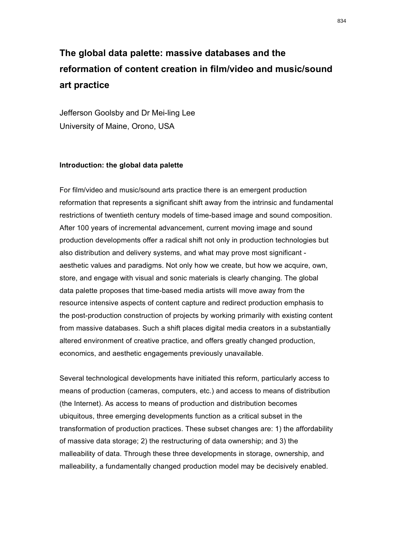# **The global data palette: massive databases and the reformation of content creation in film/video and music/sound art practice**

Jefferson Goolsby and Dr Mei-ling Lee University of Maine, Orono, USA

#### **Introduction: the global data palette**

For film/video and music/sound arts practice there is an emergent production reformation that represents a significant shift away from the intrinsic and fundamental restrictions of twentieth century models of time-based image and sound composition. After 100 years of incremental advancement, current moving image and sound production developments offer a radical shift not only in production technologies but also distribution and delivery systems, and what may prove most significant aesthetic values and paradigms. Not only how we create, but how we acquire, own, store, and engage with visual and sonic materials is clearly changing. The global data palette proposes that time-based media artists will move away from the resource intensive aspects of content capture and redirect production emphasis to the post-production construction of projects by working primarily with existing content from massive databases. Such a shift places digital media creators in a substantially altered environment of creative practice, and offers greatly changed production, economics, and aesthetic engagements previously unavailable.

Several technological developments have initiated this reform, particularly access to means of production (cameras, computers, etc.) and access to means of distribution (the Internet). As access to means of production and distribution becomes ubiquitous, three emerging developments function as a critical subset in the transformation of production practices. These subset changes are: 1) the affordability of massive data storage; 2) the restructuring of data ownership; and 3) the malleability of data. Through these three developments in storage, ownership, and malleability, a fundamentally changed production model may be decisively enabled.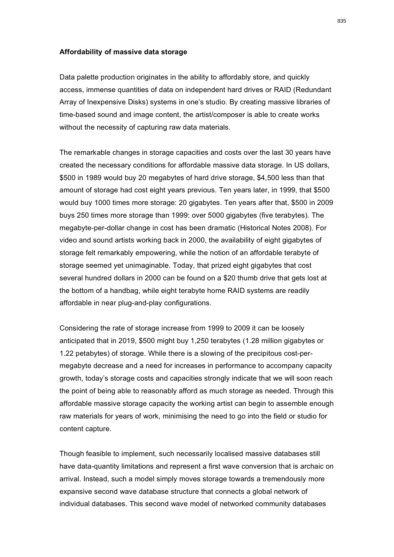#### **Affordability of massive data storage**

Data palette production originates in the ability to affordably store, and quickly access, immense quantities of data on independent hard drives or RAID (Redundant Array of Inexpensive Disks) systems in one's studio. By creating massive libraries of time-based sound and image content, the artist/composer is able to create works without the necessity of capturing raw data materials.

The remarkable changes in storage capacities and costs over the last 30 years have created the necessary conditions for affordable massive data storage. In US dollars, \$500 in 1989 would buy 20 megabytes of hard drive storage, \$4,500 less than that amount of storage had cost eight years previous. Ten years later, in 1999, that \$500 would buy 1000 times more storage: 20 gigabytes. Ten years after that, \$500 in 2009 buys 250 times more storage than 1999: over 5000 gigabytes (five terabytes). The megabyte-per-dollar change in cost has been dramatic (Historical Notes 2008). For video and sound artists working back in 2000, the availability of eight gigabytes of storage felt remarkably empowering, while the notion of an affordable terabyte of storage seemed yet unimaginable. Today, that prized eight gigabytes that cost several hundred dollars in 2000 can be found on a \$20 thumb drive that gets lost at the bottom of a handbag, while eight terabyte home RAID systems are readily affordable in near plug-and-play configurations.

Considering the rate of storage increase from 1999 to 2009 it can be loosely anticipated that in 2019, \$500 might buy 1,250 terabytes (1.28 million gigabytes or 1.22 petabytes) of storage. While there is a slowing of the precipitous cost-permegabyte decrease and a need for increases in performance to accompany capacity growth, today's storage costs and capacities strongly indicate that we will soon reach the point of being able to reasonably afford as much storage as needed. Through this affordable massive storage capacity the working artist can begin to assemble enough raw materials for years of work, minimising the need to go into the field or studio for content capture.

Though feasible to implement, such necessarily localised massive databases still have data-quantity limitations and represent a first wave conversion that is archaic on arrival. Instead, such a model simply moves storage towards a tremendously more expansive second wave database structure that connects a global network of individual databases. This second wave model of networked community databases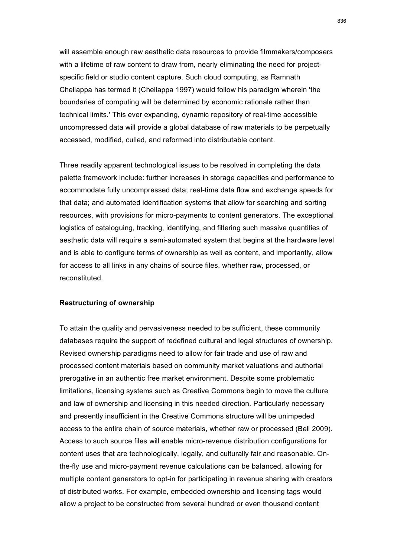will assemble enough raw aesthetic data resources to provide filmmakers/composers with a lifetime of raw content to draw from, nearly eliminating the need for projectspecific field or studio content capture. Such cloud computing, as Ramnath Chellappa has termed it (Chellappa 1997) would follow his paradigm wherein 'the boundaries of computing will be determined by economic rationale rather than technical limits.' This ever expanding, dynamic repository of real-time accessible uncompressed data will provide a global database of raw materials to be perpetually accessed, modified, culled, and reformed into distributable content.

Three readily apparent technological issues to be resolved in completing the data palette framework include: further increases in storage capacities and performance to accommodate fully uncompressed data; real-time data flow and exchange speeds for that data; and automated identification systems that allow for searching and sorting resources, with provisions for micro-payments to content generators. The exceptional logistics of cataloguing, tracking, identifying, and filtering such massive quantities of aesthetic data will require a semi-automated system that begins at the hardware level and is able to configure terms of ownership as well as content, and importantly, allow for access to all links in any chains of source files, whether raw, processed, or reconstituted.

### **Restructuring of ownership**

To attain the quality and pervasiveness needed to be sufficient, these community databases require the support of redefined cultural and legal structures of ownership. Revised ownership paradigms need to allow for fair trade and use of raw and processed content materials based on community market valuations and authorial prerogative in an authentic free market environment. Despite some problematic limitations, licensing systems such as Creative Commons begin to move the culture and law of ownership and licensing in this needed direction. Particularly necessary and presently insufficient in the Creative Commons structure will be unimpeded access to the entire chain of source materials, whether raw or processed (Bell 2009). Access to such source files will enable micro-revenue distribution configurations for content uses that are technologically, legally, and culturally fair and reasonable. Onthe-fly use and micro-payment revenue calculations can be balanced, allowing for multiple content generators to opt-in for participating in revenue sharing with creators of distributed works. For example, embedded ownership and licensing tags would allow a project to be constructed from several hundred or even thousand content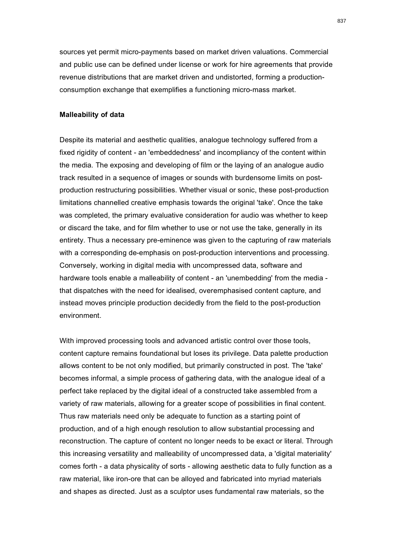sources yet permit micro-payments based on market driven valuations. Commercial and public use can be defined under license or work for hire agreements that provide revenue distributions that are market driven and undistorted, forming a productionconsumption exchange that exemplifies a functioning micro-mass market.

### **Malleability of data**

Despite its material and aesthetic qualities, analogue technology suffered from a fixed rigidity of content - an 'embeddedness' and incompliancy of the content within the media. The exposing and developing of film or the laying of an analogue audio track resulted in a sequence of images or sounds with burdensome limits on postproduction restructuring possibilities. Whether visual or sonic, these post-production limitations channelled creative emphasis towards the original 'take'. Once the take was completed, the primary evaluative consideration for audio was whether to keep or discard the take, and for film whether to use or not use the take, generally in its entirety. Thus a necessary pre-eminence was given to the capturing of raw materials with a corresponding de-emphasis on post-production interventions and processing. Conversely, working in digital media with uncompressed data, software and hardware tools enable a malleability of content - an 'unembedding' from the media that dispatches with the need for idealised, overemphasised content capture, and instead moves principle production decidedly from the field to the post-production environment.

With improved processing tools and advanced artistic control over those tools, content capture remains foundational but loses its privilege. Data palette production allows content to be not only modified, but primarily constructed in post. The 'take' becomes informal, a simple process of gathering data, with the analogue ideal of a perfect take replaced by the digital ideal of a constructed take assembled from a variety of raw materials, allowing for a greater scope of possibilities in final content. Thus raw materials need only be adequate to function as a starting point of production, and of a high enough resolution to allow substantial processing and reconstruction. The capture of content no longer needs to be exact or literal. Through this increasing versatility and malleability of uncompressed data, a 'digital materiality' comes forth - a data physicality of sorts - allowing aesthetic data to fully function as a raw material, like iron-ore that can be alloyed and fabricated into myriad materials and shapes as directed. Just as a sculptor uses fundamental raw materials, so the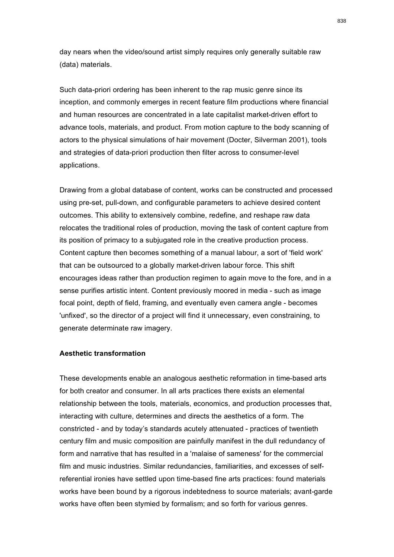day nears when the video/sound artist simply requires only generally suitable raw (data) materials.

Such data-priori ordering has been inherent to the rap music genre since its inception, and commonly emerges in recent feature film productions where financial and human resources are concentrated in a late capitalist market-driven effort to advance tools, materials, and product. From motion capture to the body scanning of actors to the physical simulations of hair movement (Docter, Silverman 2001), tools and strategies of data-priori production then filter across to consumer-level applications.

Drawing from a global database of content, works can be constructed and processed using pre-set, pull-down, and configurable parameters to achieve desired content outcomes. This ability to extensively combine, redefine, and reshape raw data relocates the traditional roles of production, moving the task of content capture from its position of primacy to a subjugated role in the creative production process. Content capture then becomes something of a manual labour, a sort of 'field work' that can be outsourced to a globally market-driven labour force. This shift encourages ideas rather than production regimen to again move to the fore, and in a sense purifies artistic intent. Content previously moored in media - such as image focal point, depth of field, framing, and eventually even camera angle - becomes 'unfixed', so the director of a project will find it unnecessary, even constraining, to generate determinate raw imagery.

### **Aesthetic transformation**

These developments enable an analogous aesthetic reformation in time-based arts for both creator and consumer. In all arts practices there exists an elemental relationship between the tools, materials, economics, and production processes that, interacting with culture, determines and directs the aesthetics of a form. The constricted - and by today's standards acutely attenuated - practices of twentieth century film and music composition are painfully manifest in the dull redundancy of form and narrative that has resulted in a 'malaise of sameness' for the commercial film and music industries. Similar redundancies, familiarities, and excesses of selfreferential ironies have settled upon time-based fine arts practices: found materials works have been bound by a rigorous indebtedness to source materials; avant-garde works have often been stymied by formalism; and so forth for various genres.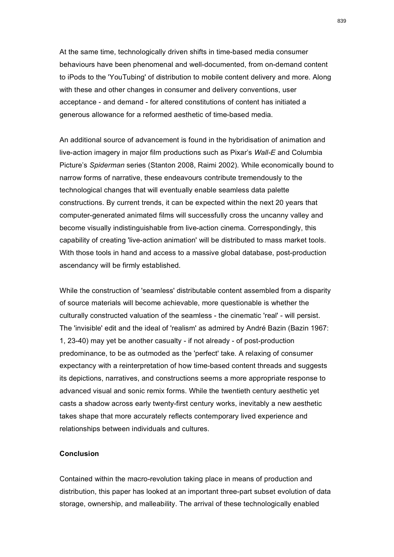At the same time, technologically driven shifts in time-based media consumer behaviours have been phenomenal and well-documented, from on-demand content to iPods to the 'YouTubing' of distribution to mobile content delivery and more. Along with these and other changes in consumer and delivery conventions, user acceptance - and demand - for altered constitutions of content has initiated a generous allowance for a reformed aesthetic of time-based media.

An additional source of advancement is found in the hybridisation of animation and live-action imagery in major film productions such as Pixar's *Wall-E* and Columbia Picture's *Spiderman* series (Stanton 2008, Raimi 2002). While economically bound to narrow forms of narrative, these endeavours contribute tremendously to the technological changes that will eventually enable seamless data palette constructions. By current trends, it can be expected within the next 20 years that computer-generated animated films will successfully cross the uncanny valley and become visually indistinguishable from live-action cinema. Correspondingly, this capability of creating 'live-action animation' will be distributed to mass market tools. With those tools in hand and access to a massive global database, post-production ascendancy will be firmly established.

While the construction of 'seamless' distributable content assembled from a disparity of source materials will become achievable, more questionable is whether the culturally constructed valuation of the seamless - the cinematic 'real' - will persist. The 'invisible' edit and the ideal of 'realism' as admired by André Bazin (Bazin 1967: 1, 23-40) may yet be another casualty - if not already - of post-production predominance, to be as outmoded as the 'perfect' take. A relaxing of consumer expectancy with a reinterpretation of how time-based content threads and suggests its depictions, narratives, and constructions seems a more appropriate response to advanced visual and sonic remix forms. While the twentieth century aesthetic yet casts a shadow across early twenty-first century works, inevitably a new aesthetic takes shape that more accurately reflects contemporary lived experience and relationships between individuals and cultures.

## **Conclusion**

Contained within the macro-revolution taking place in means of production and distribution, this paper has looked at an important three-part subset evolution of data storage, ownership, and malleability. The arrival of these technologically enabled